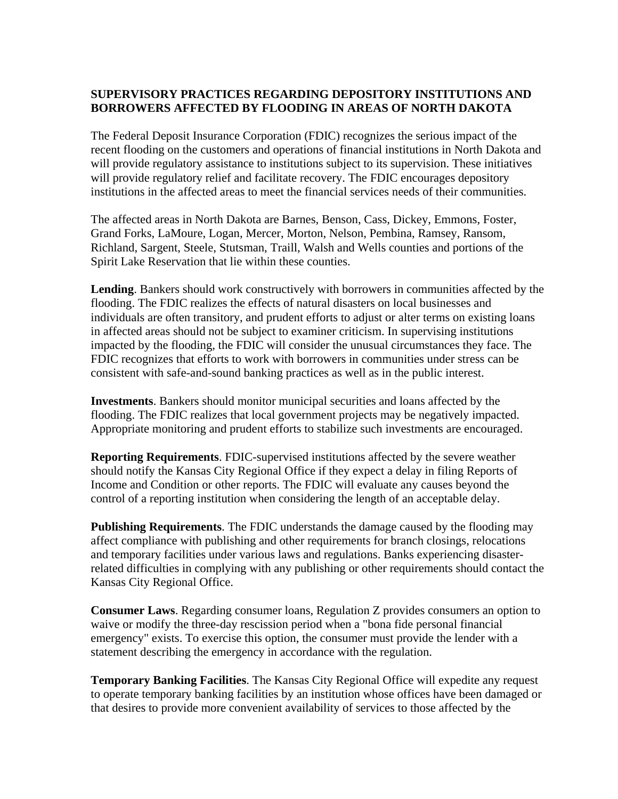## **SUPERVISORY PRACTICES REGARDING DEPOSITORY INSTITUTIONS AND BORROWERS AFFECTED BY FLOODING IN AREAS OF NORTH DAKOTA**

The Federal Deposit Insurance Corporation (FDIC) recognizes the serious impact of the recent flooding on the customers and operations of financial institutions in North Dakota and will provide regulatory assistance to institutions subject to its supervision. These initiatives will provide regulatory relief and facilitate recovery. The FDIC encourages depository institutions in the affected areas to meet the financial services needs of their communities.

The affected areas in North Dakota are Barnes, Benson, Cass, Dickey, Emmons, Foster, Grand Forks, LaMoure, Logan, Mercer, Morton, Nelson, Pembina, Ramsey, Ransom, Richland, Sargent, Steele, Stutsman, Traill, Walsh and Wells counties and portions of the Spirit Lake Reservation that lie within these counties.

**Lending**. Bankers should work constructively with borrowers in communities affected by the flooding. The FDIC realizes the effects of natural disasters on local businesses and individuals are often transitory, and prudent efforts to adjust or alter terms on existing loans in affected areas should not be subject to examiner criticism. In supervising institutions impacted by the flooding, the FDIC will consider the unusual circumstances they face. The FDIC recognizes that efforts to work with borrowers in communities under stress can be consistent with safe-and-sound banking practices as well as in the public interest.

**Investments**. Bankers should monitor municipal securities and loans affected by the flooding. The FDIC realizes that local government projects may be negatively impacted. Appropriate monitoring and prudent efforts to stabilize such investments are encouraged.

**Reporting Requirements**. FDIC-supervised institutions affected by the severe weather should notify the Kansas City Regional Office if they expect a delay in filing Reports of Income and Condition or other reports. The FDIC will evaluate any causes beyond the control of a reporting institution when considering the length of an acceptable delay.

**Publishing Requirements**. The FDIC understands the damage caused by the flooding may affect compliance with publishing and other requirements for branch closings, relocations and temporary facilities under various laws and regulations. Banks experiencing disasterrelated difficulties in complying with any publishing or other requirements should contact the Kansas City Regional Office.

**Consumer Laws**. Regarding consumer loans, Regulation Z provides consumers an option to waive or modify the three-day rescission period when a "bona fide personal financial emergency" exists. To exercise this option, the consumer must provide the lender with a statement describing the emergency in accordance with the regulation.

**Temporary Banking Facilities**. The Kansas City Regional Office will expedite any request to operate temporary banking facilities by an institution whose offices have been damaged or that desires to provide more convenient availability of services to those affected by the